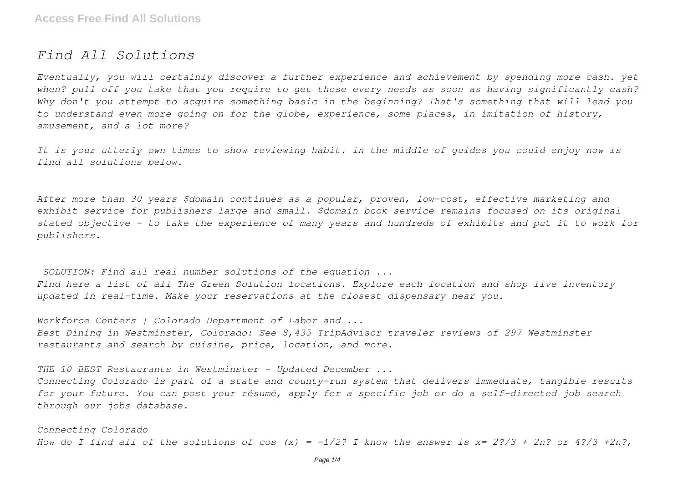# *Find All Solutions*

*Eventually, you will certainly discover a further experience and achievement by spending more cash. yet when? pull off you take that you require to get those every needs as soon as having significantly cash? Why don't you attempt to acquire something basic in the beginning? That's something that will lead you to understand even more going on for the globe, experience, some places, in imitation of history, amusement, and a lot more?*

*It is your utterly own times to show reviewing habit. in the middle of guides you could enjoy now is find all solutions below.*

*After more than 30 years \$domain continues as a popular, proven, low-cost, effective marketing and exhibit service for publishers large and small. \$domain book service remains focused on its original stated objective - to take the experience of many years and hundreds of exhibits and put it to work for publishers.*

*SOLUTION: Find all real number solutions of the equation ... Find here a list of all The Green Solution locations. Explore each location and shop live inventory updated in real-time. Make your reservations at the closest dispensary near you.*

*Workforce Centers | Colorado Department of Labor and ... Best Dining in Westminster, Colorado: See 8,435 TripAdvisor traveler reviews of 297 Westminster restaurants and search by cuisine, price, location, and more.*

*THE 10 BEST Restaurants in Westminster - Updated December ...*

*Connecting Colorado is part of a state and county-run system that delivers immediate, tangible results for your future. You can post your résumé, apply for a specific job or do a self-directed job search through our jobs database.*

*Connecting Colorado How do I find all of the solutions of cos (x) = -1/2? I know the answer is x= 2?/3 + 2n? or 4?/3 +2n?,*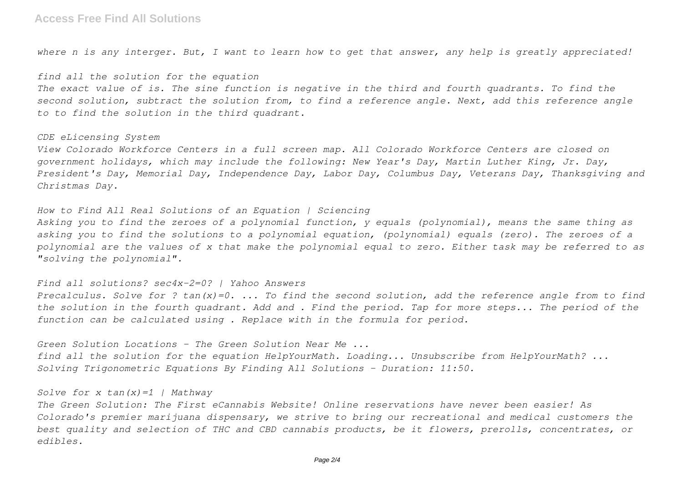*where n is any interger. But, I want to learn how to get that answer, any help is greatly appreciated!*

*find all the solution for the equation*

*The exact value of is. The sine function is negative in the third and fourth quadrants. To find the second solution, subtract the solution from, to find a reference angle. Next, add this reference angle to to find the solution in the third quadrant.*

## *CDE eLicensing System*

*View Colorado Workforce Centers in a full screen map. All Colorado Workforce Centers are closed on government holidays, which may include the following: New Year's Day, Martin Luther King, Jr. Day, President's Day, Memorial Day, Independence Day, Labor Day, Columbus Day, Veterans Day, Thanksgiving and Christmas Day.*

*How to Find All Real Solutions of an Equation | Sciencing*

*Asking you to find the zeroes of a polynomial function, y equals (polynomial), means the same thing as asking you to find the solutions to a polynomial equation, (polynomial) equals (zero). The zeroes of a polynomial are the values of x that make the polynomial equal to zero. Either task may be referred to as "solving the polynomial".*

*Find all solutions? sec4x-2=0? | Yahoo Answers*

*Precalculus. Solve for ? tan(x)=0. ... To find the second solution, add the reference angle from to find the solution in the fourth quadrant. Add and . Find the period. Tap for more steps... The period of the function can be calculated using . Replace with in the formula for period.*

*Green Solution Locations - The Green Solution Near Me ... find all the solution for the equation HelpYourMath. Loading... Unsubscribe from HelpYourMath? ... Solving Trigonometric Equations By Finding All Solutions - Duration: 11:50.*

## *Solve for x tan(x)=1 | Mathway*

*The Green Solution: The First eCannabis Website! Online reservations have never been easier! As Colorado's premier marijuana dispensary, we strive to bring our recreational and medical customers the best quality and selection of THC and CBD cannabis products, be it flowers, prerolls, concentrates, or edibles.*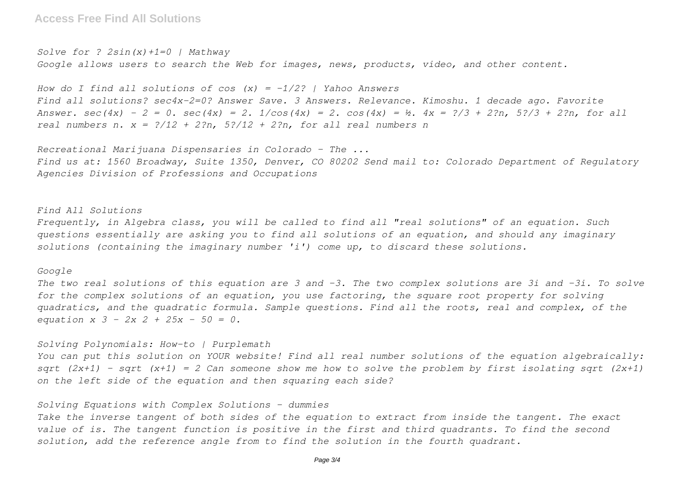*Solve for ? 2sin(x)+1=0 | Mathway Google allows users to search the Web for images, news, products, video, and other content.*

*How do I find all solutions of cos (x) = -1/2? | Yahoo Answers Find all solutions? sec4x-2=0? Answer Save. 3 Answers. Relevance. Kimoshu. 1 decade ago. Favorite Answer. sec(4x) - 2 = 0. sec(4x) = 2. 1/cos(4x) = 2. cos(4x) = ½. 4x = ?/3 + 2?n, 5?/3 + 2?n, for all real numbers n. x = ?/12 + 2?n, 5?/12 + 2?n, for all real numbers n*

*Recreational Marijuana Dispensaries in Colorado - The ... Find us at: 1560 Broadway, Suite 1350, Denver, CO 80202 Send mail to: Colorado Department of Regulatory Agencies Division of Professions and Occupations*

#### *Find All Solutions*

*Frequently, in Algebra class, you will be called to find all "real solutions" of an equation. Such questions essentially are asking you to find all solutions of an equation, and should any imaginary solutions (containing the imaginary number 'i') come up, to discard these solutions.*

#### *Google*

*The two real solutions of this equation are 3 and –3. The two complex solutions are 3i and –3i. To solve for the complex solutions of an equation, you use factoring, the square root property for solving quadratics, and the quadratic formula. Sample questions. Find all the roots, real and complex, of the equation x 3 – 2x 2 + 25x – 50 = 0.*

### *Solving Polynomials: How-to | Purplemath*

*You can put this solution on YOUR website! Find all real number solutions of the equation algebraically: sqrt (2x+1) - sqrt (x+1) = 2 Can someone show me how to solve the problem by first isolating sqrt (2x+1) on the left side of the equation and then squaring each side?*

# *Solving Equations with Complex Solutions - dummies*

*Take the inverse tangent of both sides of the equation to extract from inside the tangent. The exact value of is. The tangent function is positive in the first and third quadrants. To find the second solution, add the reference angle from to find the solution in the fourth quadrant.*